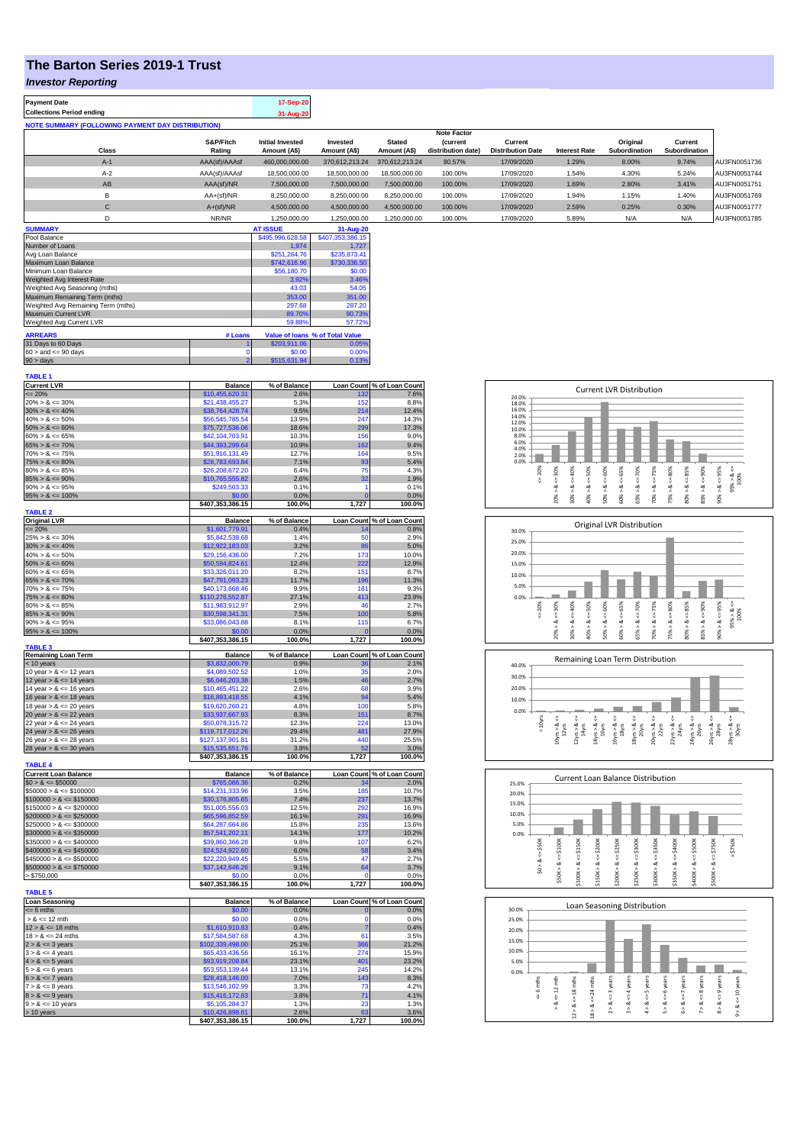## **The Barton Series 2019-1 Trust**

### *Investor Reporting*

**Payment Date 17-Sep-20 Collections Period ending 31-Aug-20 NOTE SUMMARY (FOLLOWING PAYMENT DAY DISTRIBUTION)**

|              |               |                         |                |                | <b>Note Factor</b> |                          |                      |               |               |              |
|--------------|---------------|-------------------------|----------------|----------------|--------------------|--------------------------|----------------------|---------------|---------------|--------------|
|              | S&P/Fitch     | <b>Initial Invested</b> | Invested       | <b>Stated</b>  | <i>(current</i>    | Current                  |                      | Original      | Current       |              |
| <b>Class</b> | Rating        | Amount (A\$)            | Amount (A\$)   | Amount (A\$)   | distribution date) | <b>Distribution Date</b> | <b>Interest Rate</b> | Subordination | Subordination |              |
| $A-1$        | AAA(sf)/AAAsf | 460.000.000.00          | 370.612.213.24 | 370.612.213.24 | 80.57%             | 17/09/2020               | 1.29%                | 8.00%         | 9.74%         | AU3FN0051736 |
| $A-2$        | AAA(sf)/AAAsf | 18,500,000.00           | 18,500,000,00  | 18,500,000.00  | 100.00%            | 17/09/2020               | 1.54%                | 4.30%         | 5.24%         | AU3FN0051744 |
| AB           | AAA(sf)/NR    | 7.500.000.00            | 7.500.000.00   | 7.500.000.00   | 100.00%            | 17/09/2020               | 1.69%                | 2.80%         | 3.41%         | AU3FN0051751 |
|              | $AA+(sf)/NR$  | 8.250.000.00            | 8.250.000.00   | 8.250.000.00   | 100.00%            | 17/09/2020               | 1.94%                | 1.15%         | 1.40%         | AU3FN0051769 |
| C            | $A+(sf)/NR$   | 4.500.000.00            | 4.500.000.00   | 4.500.000.00   | 100.00%            | 17/09/2020               | 2.59%                | 0.25%         | 0.30%         | AU3FN0051777 |
|              | NR/NR         | 1.250.000.00            | 1.250.000.00   | 1.250.000.00   | 100.00%            | 17/09/2020               | 5.89%                | N/A           | N/A           | AU3FN0051785 |

| <b>SUMMARY</b>                     |         | <b>AT ISSUE</b>  | 31-Aug-20                       |
|------------------------------------|---------|------------------|---------------------------------|
| Pool Balance                       |         | \$495,996,628.58 | \$407,353,386.15                |
| Number of Loans                    |         | 1.974            | 1.727                           |
| Avg Loan Balance                   |         | \$251.264.76     | \$235,873.41                    |
| Maximum Loan Balance               |         | \$742,616.96     | \$730,336.50                    |
| Minimum Loan Balance               |         | \$56,180.70      | \$0.00                          |
| Weighted Avg Interest Rate         |         | 3.92%            | 3.46%                           |
| Weighted Avg Seasoning (mths)      |         | 43.03            | 54.05                           |
| Maximum Remaining Term (mths)      |         | 353.00           | 351.00                          |
| Weighted Avg Remaining Term (mths) |         | 297.68           | 287.20                          |
| Maximum Current LVR                |         | 89.70%           | 90.73%                          |
| Weighted Avg Current LVR           |         | 59.88%           | 57.72%                          |
| <b>ARREARS</b>                     | # Loans |                  | Value of Ioans % of Total Value |
| 31 Days to 60 Days                 |         | \$203,911.06     | 0.05%                           |
| $60 >$ and $\leq 90$ days          |         | \$0.00           | 0.00%                           |
| $90 > \text{days}$                 | 2       | \$515,631.94     | 0.13%                           |

| <b>TABLE 1</b>                                          |                                    |                      |                |                            |
|---------------------------------------------------------|------------------------------------|----------------------|----------------|----------------------------|
| <b>Current LVR</b>                                      | <b>Balance</b>                     | % of Balance         |                | Loan Count % of Loan Count |
| $\leq$ 20%                                              | \$10,455,620.31                    | 2.6%                 | 132            | 7.6%                       |
| $20\% > 8 \le 30\%$                                     | \$21,438,455.27                    | 5.3%                 | 152            | 8.8%                       |
| $30\% > 8 \le 40\%$                                     | \$38,764,428.74                    | 9.5%                 | 214            | 12.4%                      |
| $40\% > 8 \le 50\%$                                     | \$56,545,785.54                    | 13.9%                | 247            | 14.3%                      |
| $50\% > 8 \le 60\%$                                     | \$75,727,536.06                    | 18.6%                | 299            | 17.3%                      |
| $60\% > 8 \le 65\%$                                     | \$42,104,703.91                    | 10.3%                | 156            | 9.0%                       |
| $65\% > 8 \le 70\%$                                     | \$44,393,299.64                    | 10.9%                | 162            | 9.4%                       |
| $70\% > 8 \le 75\%$                                     | \$51.916.131.49                    | 12.7%                | 164            | 9.5%                       |
| $75\% > 8 \le 80\%$                                     | \$28,783,693.84                    | 7.1%                 | 93             | 5.4%                       |
| $80\% > 8 \le 85\%$                                     | \$26,208,672.20                    | 6.4%                 | 75             | 4.3%                       |
| $85\% > 8 \le 90\%$                                     | \$10,765,555.82                    | 2.6%                 | 32             | 1.9%                       |
| $90\% > 8 \le 95\%$                                     | \$249,503.33                       | 0.1%                 | 1              | 0.1%                       |
| $95\% > 8 \le 100\%$                                    | \$0.00                             | 0.0%                 | $\overline{0}$ | 0.0%                       |
| <b>TABLE 2</b>                                          | \$407,353,386.15                   | 100.0%               | 1,727          | 100.0%                     |
| <b>Original LVR</b>                                     | <b>Balance</b>                     | % of Balance         |                | Loan Count % of Loan Count |
| $= 20%$                                                 | \$1,601,779.91                     | 0.4%                 | 14             | 0.8%                       |
| $25\% > 8 \le 30\%$                                     | \$5,842,538.68                     | 1.4%                 | 50             | 2.9%                       |
| $30\% > 8 \le 40\%$                                     | \$12,922,183.03                    | 3.2%                 | 86             | 5.0%                       |
| $40\% > 8 \le 50\%$                                     | \$29,156,436.00                    | 7.2%                 | 173            | 10.0%                      |
| $50\% > 8 \le 60\%$                                     | \$50,594,824.61                    | 12.4%                | 222            | 12.9%                      |
| $60\% > 8 \le 65\%$                                     | \$33,326,011.20                    | 8.2%                 | 151            | 8.7%                       |
| $65\% > 8 \le 70\%$                                     | \$47,791,093.23                    | 11.7%                | 196            | 11.3%                      |
| $70\% > 8 \le 75\%$                                     | \$40,173,668.46                    | 9.9%                 | 161            | 9.3%                       |
| $75\% > 8 \le 80\%$                                     | \$110,276,552.87                   | 27.1%                | 413            | 23.9%                      |
| $80\% > 8 \le 85\%$                                     | \$11,983,912.97                    | 2.9%                 | 46             | 2.7%                       |
| $85\% > 8 \le 90\%$                                     | \$30,598,341.31                    | 7.5%                 | 100            | 5.8%                       |
| $90\% > 8 \le 95\%$                                     | \$33,086,043.88                    | 8.1%                 | 115            | 6.7%                       |
| $95\% > 8 \le 100\%$                                    | \$0.00                             | 0.0%                 | n              | 0.0%                       |
|                                                         | \$407,353,386.15                   | 100.0%               | 1,727          | 100.0%                     |
| <b>TABLE 3</b>                                          |                                    |                      |                |                            |
| <b>Remaining Loan Term</b>                              | <b>Balance</b>                     | % of Balance         |                | Loan Count % of Loan Count |
| < 10 years                                              | \$3,832,000.79                     | 0.9%                 | 36             | 2.1%                       |
| 10 year $> 8 \le 12$ years                              | \$4,089,502.52                     | 1.0%                 | 35             | 2.0%                       |
| 12 year $> 8 \le 14$ years                              | \$6,046,203.38                     | 1.5%                 | 46             | 2.7%                       |
| 14 year $> 8 \le 16$ years                              | \$10,465,451.22                    | 2.6%                 | 68             | 3.9%                       |
| 16 year $> 8 \le 18$ years                              | \$16,893,418.55                    | 4.1%                 | 94             | 5.4%                       |
| 18 year $> 8 \le 20$ years                              | \$19,620,260.21                    | 4.8%                 | 100            | 5.8%                       |
| 20 year $> 8 \le 22$ years                              | \$33,937,667.93                    | 8.3%                 | 151            | 8.7%                       |
| 22 year $> 8 \le 24$ years                              | \$50,078,315.72                    | 12.3%                | 224            | 13.0%                      |
| 24 year $> 8 \le 26$ years                              | \$119,717,012.26                   | 29.4%                | 481            | 27.9%                      |
| 26 year > & <= 28 years                                 | \$127,137,901.81                   | 31.2%                | 440            | 25.5%                      |
| $28$ year > $8 \le 30$ years                            | \$15,535,651.76                    | 3.8%                 | 52             | 3.0%                       |
|                                                         | \$407,353,386.15                   | 100.0%               | 1,727          | 100.0%                     |
| <b>TABLE 4</b>                                          |                                    |                      |                |                            |
| <b>Current Loan Balance</b><br>$$0 > 8 \le $50000$      | <b>Balance</b>                     | % of Balance<br>0.2% | Loan Count     | % of Loan Count<br>2.0%    |
|                                                         | \$765,086.36                       |                      |                |                            |
| $$50000 > 8 \le $100000$                                | \$14,231,333.96                    | 3.5%<br>7.4%         | 185<br>237     | 10.7%                      |
| $$100000 > 8 \leq $150000$<br>$$150000 > 8 \le $200000$ | \$30,176,805.65<br>\$51,005,556.03 | 12.5%                | 292            | 13.7%<br>16.9%             |
| $$200000 > 8 \le $250000$                               | \$65,596,852.59                    | 16.1%                | 291            | 16.9%                      |
| $$250000 > 8 \le $300000$                               | \$64,287,664.86                    | 15.8%                | 235            | 13.6%                      |
| $$300000 > 8 \leq $350000$                              | \$57,541,202.11                    | 14.1%                | 177            | 10.2%                      |
| $$350000 > 8 \le $400000$                               | \$39,860,366.28                    | 9.8%                 | 107            | 6.2%                       |
| $$400000 > 8 \le $450000$                               | \$24,524,922.60                    | 6.0%                 | 58             | 3.4%                       |
| $$450000 > 8 \le $500000$                               | \$22,220,949.45                    | 5.5%                 | 47             | 2.7%                       |
| $$500000 > 8 \le $750000$                               | \$37,142,646.26                    | 9.1%                 | 64             | 3.7%                       |
| > \$750,000                                             | \$0.00                             | 0.0%                 | O              | 0.0%                       |
|                                                         | \$407,353,386.15                   | 100.0%               | 1,727          | 100.0%                     |
| <b>TABLE 5</b>                                          |                                    |                      |                |                            |
| <b>Loan Seasoning</b>                                   | <b>Balance</b>                     | % of Balance         |                | Loan Count % of Loan Count |
| $= 6$ mths                                              | \$0.00                             | 0.0%                 | O              | 0.0%                       |
| $> 8 \le 12$ mth                                        | \$0.00                             | 0.0%                 | $\mathbf 0$    | 0.0%                       |
| $12 > 8 \le 18$ mths                                    | \$1,610,910.83                     | 0.4%                 | $\overline{7}$ | 0.4%                       |
| $18 > 8 \le 24$ mths                                    | \$17,584,587.68                    | 4.3%                 | 61             | 3.5%                       |
| $2 > 8 \le 3$ years                                     | \$102,339,498.00                   | 25.1%                | 366            | 21.2%                      |
| $3 > 8 \le 4$ years                                     | \$65,433,436.56                    | 16.1%                | 274            | 15.9%                      |
| $4 > 8 \le 5$ years                                     | \$93,919,208.84                    | 23.1%                | 401            | 23.2%                      |
| $5 > 8 \le 6$ years                                     | \$53,553,139.44                    | 13.1%                | 245            | 14.2%                      |
| $6 > 8 \le 7$ years                                     | \$28,418,146.00                    | 7.0%                 | 143            | 8.3%                       |
| $7 > 8 \le 8$ years                                     | \$13,546,102.99                    | 3.3%                 | 73             | 4.2%                       |
| $8 > 8 \le 9$ years                                     | \$15,416,172.83                    | 3.8%                 | 71             | 4.1%                       |
| $9 > 8 \le 10$ years                                    | \$5,105,284.37                     | 1.3%                 | 23             | 1.3%                       |
| $> 10$ years                                            | \$10,426,898.61                    | 2.6%                 | 63             | 3.6%                       |
|                                                         | \$407,353,386.15                   | 100.0%               | 1,727          | 100.0%                     |
|                                                         |                                    |                      |                |                            |

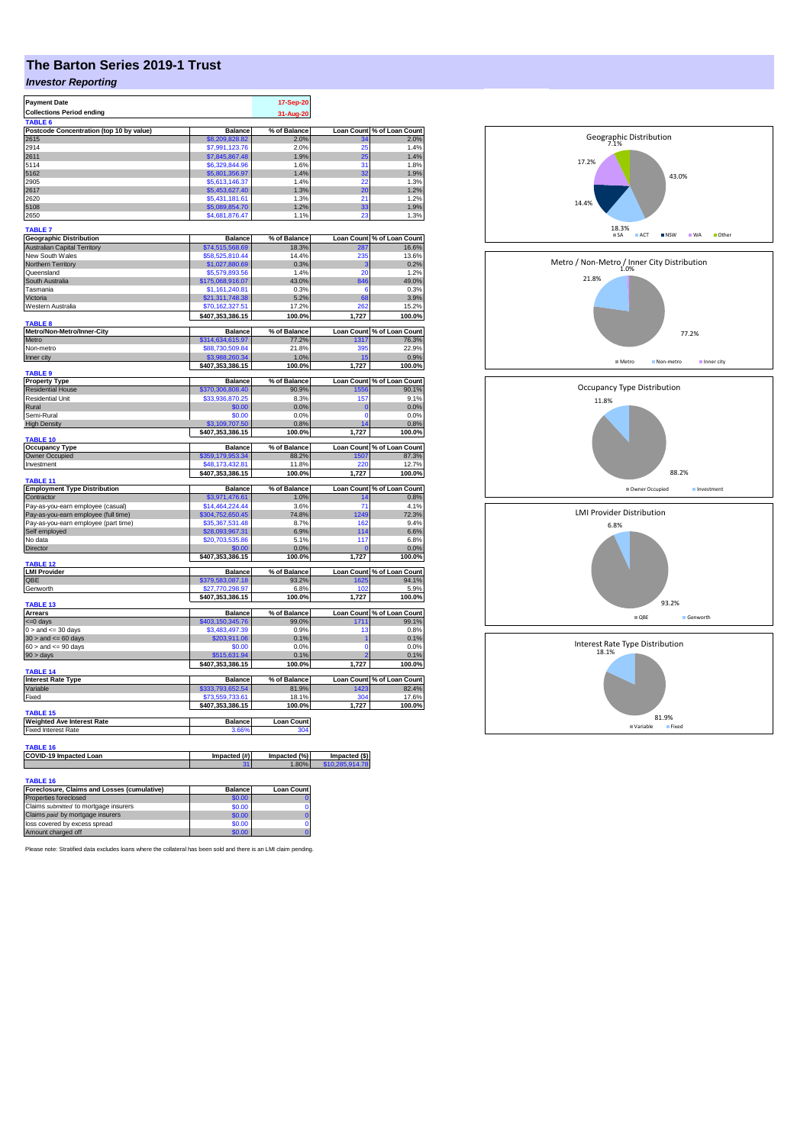# **The Barton Series 2019-1 Trust**

## *Investor Reporting*

| <b>Payment Date</b>                                            |                                    | 17-Sep-20             |                                  |                                                                                                      |
|----------------------------------------------------------------|------------------------------------|-----------------------|----------------------------------|------------------------------------------------------------------------------------------------------|
| <b>Collections Period ending</b>                               |                                    | 31-Aug-20             |                                  |                                                                                                      |
| TABLE <sub>6</sub><br>Postcode Concentration (top 10 by value) | <b>Balance</b>                     | % of Balance          | <b>Loan Count</b>                | % of Loan Count                                                                                      |
| 2615                                                           | \$8,209,828,82                     | 2.0%                  |                                  | 2.0%                                                                                                 |
| 2914                                                           | \$7,991,123.76                     | 2.0%                  | 25                               | 1.4%                                                                                                 |
| 2611                                                           | \$7,845,867.48                     | 1.9%                  | 25                               | 1.4%                                                                                                 |
| 5114                                                           | \$6,329,844.96                     | 1.6%                  | 31                               | 1.8%                                                                                                 |
| 5162                                                           | \$5,801,356.97                     | 1.4%                  | 32                               | 1.9%                                                                                                 |
| 2905                                                           | \$5,613,146.37                     | 1.4%                  | 22                               | 1.3%                                                                                                 |
| 2617                                                           | \$5,453,627.40                     | 1.3%                  | 20                               | 1.2%                                                                                                 |
| 2620                                                           | \$5,431,181.61                     | 1.3%                  | 21                               | 1.2%                                                                                                 |
| 5108                                                           | \$5,089,854.70                     | 1.2%                  | 33<br>23                         | 1.9%                                                                                                 |
| 2650                                                           | \$4,681,876.47                     | 1.1%                  |                                  | 1.3%                                                                                                 |
| <b>TABLE 7</b>                                                 |                                    |                       |                                  |                                                                                                      |
| <b>Geographic Distribution</b>                                 | <b>Balance</b>                     | % of Balance          | <b>Loan Count</b>                | % of Loan Count                                                                                      |
| <b>Australian Capital Territory</b>                            | \$74,515,568.69                    | 18.3%                 | 287                              | 16.6%                                                                                                |
| New South Wales                                                | \$58,525,810.44                    | 14.4%                 | 235                              | 13.6%                                                                                                |
| Northern Territory                                             | \$1,027,880.69                     | 0.3%                  | 3                                | 0.2%                                                                                                 |
| Queensland                                                     | \$5,579,893.56                     | 1.4%                  | 20                               | 1.2%                                                                                                 |
| South Australia                                                | \$175,068,916.07                   | 43.0%                 | 846<br>6                         | 49.0%<br>0.3%                                                                                        |
| Tasmania<br>Victoria                                           | \$1,161,240.81                     | 0.3%                  | 68                               | 3.9%                                                                                                 |
| Western Australia                                              | \$21,311,748.38<br>\$70,162,327.51 | 5.2%<br>17.2%         | 262                              | 15.2%                                                                                                |
|                                                                | \$407,353,386.15                   | 100.0%                | 1,727                            | 100.0%                                                                                               |
| <b>TABLE 8</b>                                                 |                                    |                       |                                  |                                                                                                      |
| Metro/Non-Metro/Inner-City                                     | <b>Balance</b>                     | % of Balance          |                                  | Loan Count % of Loan Count                                                                           |
| Metro                                                          | \$314,634,615.97                   | 77.2%                 | 1317                             | 76.3%                                                                                                |
| Non-metro                                                      | \$88,730,509.84                    | 21.8%                 | 395                              | 22.9%                                                                                                |
| Inner city                                                     | \$3,988,260.34                     | 1.0%                  |                                  | 0.9%                                                                                                 |
|                                                                | \$407,353,386.15                   | 100.0%                | 1,727                            | 100.0%                                                                                               |
| TABLE <sub>9</sub>                                             |                                    |                       |                                  |                                                                                                      |
| <b>Property Type</b><br><b>Residential House</b>               | Balance<br>370.306.808.40          | % of Balance<br>90.9% |                                  | Loan Count % of Loan Count<br>1556 90.1%                                                             |
| <b>Residential Unit</b>                                        | \$33,936,870.25                    | 8.3%                  | 157                              | 9.1%                                                                                                 |
| Rural                                                          | \$0.00                             | 0.0%                  | $\overline{0}$                   | 0.0%                                                                                                 |
| Semi-Rural                                                     | \$0.00                             | 0.0%                  | $\Omega$                         | 0.0%                                                                                                 |
| <b>High Density</b>                                            | \$3,109,707.50                     | 0.8%                  | 14                               | 0.8%                                                                                                 |
|                                                                | \$407,353,386.15                   | 100.0%                | 1,727                            | 100.0%                                                                                               |
| <b>TABLE 10</b>                                                |                                    |                       |                                  |                                                                                                      |
| <b>Occupancy Type</b>                                          | <b>Balance</b>                     | % of Balance          |                                  | Loan Count % of Loan Count                                                                           |
|                                                                |                                    |                       |                                  |                                                                                                      |
| Owner Occupied                                                 | \$359,179,953.34                   | 88.2%                 | 1507                             |                                                                                                      |
| Investment                                                     | \$48.173.432.81                    | 11.8%                 | 220                              |                                                                                                      |
|                                                                | \$407,353,386.15                   | 100.0%                | 1,727                            |                                                                                                      |
| TABLE 11                                                       | <b>Balance</b>                     |                       |                                  |                                                                                                      |
| <b>Employment Type Distribution</b><br>Contractor              | \$3,971,476.61                     | % of Balance<br>1.0%  | Loan Count<br>14                 |                                                                                                      |
| Pay-as-you-earn employee (casual)                              | \$14,464,224.44                    | 3.6%                  | 71                               |                                                                                                      |
| Pay-as-you-earn employee (full time)                           | \$304,752,650.45                   | 74.8%                 | 1249                             |                                                                                                      |
| Pay-as-you-earn employee (part time)                           | \$35,367,531.48                    | 8.7%                  | 162                              |                                                                                                      |
| Self employed                                                  | \$28,093,967.31                    | 6.9%                  | 114                              |                                                                                                      |
| No data                                                        | \$20,703,535.86                    | 5.1%                  | 117                              |                                                                                                      |
| Director                                                       | \$0.00                             | 0.0%                  |                                  | 87.3%<br>12.7%<br>100.0%<br>% of Loan Count<br>0.8%<br>4.1%<br>72.3%<br>9.4%<br>6.6%<br>6.8%<br>0.0% |
|                                                                | \$407,353,386.15                   | 100.0%                | 1,727                            |                                                                                                      |
| TABLE 12                                                       |                                    |                       |                                  |                                                                                                      |
| <b>LMI Provider</b><br>QBE                                     | <b>Balance</b><br>\$379,583,087.18 | % of Balance<br>93.2% |                                  |                                                                                                      |
| Genworth                                                       | \$27,770,298.97                    | 6.8%                  | 1625<br>102                      | 100.0%<br>Loan Count % of Loan Count<br>94.1%<br>5.9%                                                |
|                                                                | \$407,353,386.15                   | 100.0%                | 1,727                            | 100.0%                                                                                               |
| TABLE 13                                                       |                                    |                       |                                  |                                                                                                      |
| <b>Arrears</b>                                                 | <b>Balance</b>                     | % of Balance          |                                  | Loan Count % of Loan Count                                                                           |
| <= 0 days                                                      | \$403,150,345.76                   | 99.0%                 | 1711                             | 99.1%                                                                                                |
| $0 >$ and $\leq$ 30 days                                       | \$3,483,497.39                     | 0.9%                  | 13                               | 0.8%                                                                                                 |
| $30 >$ and $\leq 60$ days                                      | \$203,911.06                       | 0.1%                  | 1                                | 0.1%                                                                                                 |
| $60 >$ and $<= 90$ days                                        | \$0.00                             | 0.0%                  | $\Omega$<br>b                    | 0.0%                                                                                                 |
| 90 > days                                                      | \$515,631.94                       | 0.1%                  | 1.727                            | 0.1%                                                                                                 |
| TABLE 14                                                       | \$407,353,386.15                   | 100.0%                |                                  | 100.0%                                                                                               |
| <b>Interest Rate Type</b>                                      | <b>Balance</b>                     | % of Balance          |                                  | Loan Count % of Loan Count                                                                           |
| Variable                                                       | \$333,793,652.54                   | 81.9%                 | 1423                             |                                                                                                      |
| Fixed                                                          | \$73,559,733.61                    | 18.1%                 | 304                              |                                                                                                      |
|                                                                | \$407,353,386.15                   | 100.0%                | 1,727                            |                                                                                                      |
| <b>TABLE 15</b>                                                |                                    |                       |                                  | 82.4%<br>17.6%<br>100.0%                                                                             |
| <b>Weighted Ave Interest Rate</b>                              | <b>Balance</b>                     | <b>Loan Count</b>     |                                  |                                                                                                      |
| <b>Fixed Interest Rate</b>                                     | 3.66%                              | 304                   |                                  |                                                                                                      |
|                                                                |                                    |                       |                                  |                                                                                                      |
| TABLE 16                                                       |                                    |                       |                                  |                                                                                                      |
| COVID-19 Impacted Loan                                         | Impacted (#)                       | Impacted (%)<br>1.80% | Impacted (\$)<br>\$10,285,914.78 |                                                                                                      |
|                                                                |                                    |                       |                                  |                                                                                                      |
| TABLE 16<br>Foreclosure, Claims and Losses (cumulative)        | <b>Balance</b>                     | <b>Loan Count</b>     |                                  |                                                                                                      |

|        | <b>Loan Count</b> |
|--------|-------------------|
| \$0.00 |                   |
| \$0.00 |                   |
| \$0.00 |                   |
| \$0.00 |                   |
| \$0.00 |                   |
|        | <b>Balance</b>    |

Please note: Stratified data excludes loans where the collateral has been sold and there is an LMI claim pending.